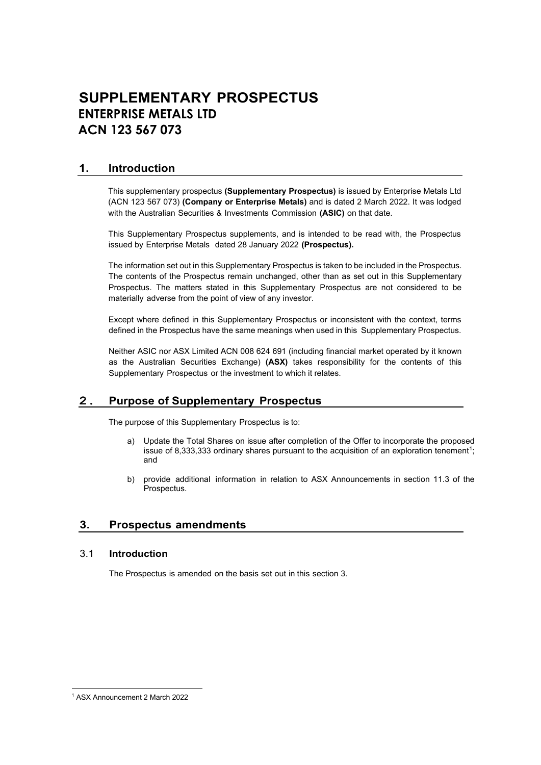# **SUPPLEMENTARY PROSPECTUS ENTERPRISE METALS LTD ACN 123 567 073**

## **1. Introduction**

This supplementary prospectus **(Supplementary Prospectus)** is issued by Enterprise Metals Ltd (ACN 123 567 073) **(Company or Enterprise Metals)** and is dated 2 March 2022. It was lodged with the Australian Securities & Investments Commission **(ASIC)** on that date.

This Supplementary Prospectus supplements, and is intended to be read with, the Prospectus issued by Enterprise Metals dated 28 January 2022 **(Prospectus).**

The information set out in this Supplementary Prospectus is taken to be included in the Prospectus. The contents of the Prospectus remain unchanged, other than as set out in this Supplementary Prospectus. The matters stated in this Supplementary Prospectus are not considered to be materially adverse from the point of view of any investor.

Except where defined in this Supplementary Prospectus or inconsistent with the context, terms defined in the Prospectus have the same meanings when used in this Supplementary Prospectus.

Neither ASIC nor ASX Limited ACN 008 624 691 (including financial market operated by it known as the Australian Securities Exchange) **(ASX)** takes responsibility for the contents of this Supplementary Prospectus or the investment to which it relates.

## **2. Purpose of Supplementary Prospectus**

The purpose of this Supplementary Prospectus is to:

- a) Update the Total Shares on issue after completion of the Offer to incorporate the proposed issue of 8,333,333 ordinary shares pursuant to the acquisition of an exploration tenement<sup>[1](#page-0-0)</sup>; and
- b) provide additional information in relation to ASX Announcements in section 11.3 of the Prospectus.

## **3. Prospectus amendments**

#### 3.1 **Introduction**

The Prospectus is amended on the basis set out in this section 3.

<span id="page-0-0"></span><sup>1</sup> ASX Announcement 2 March 2022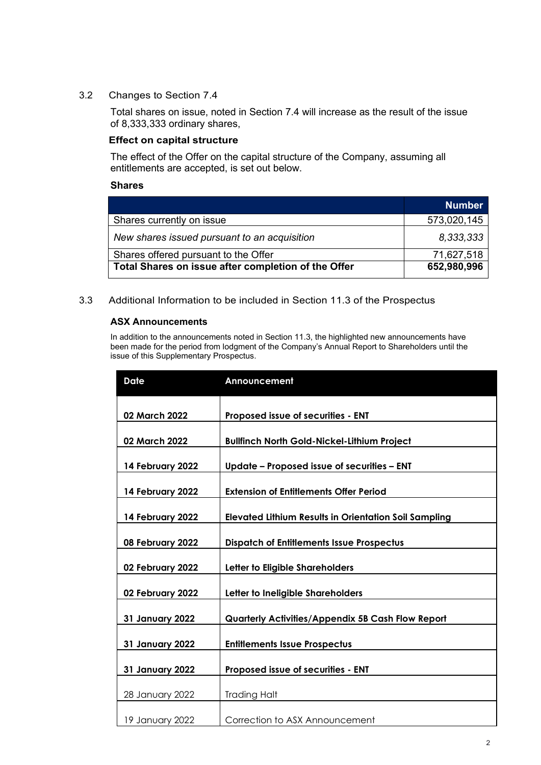3.2 Changes to Section 7.4

Total shares on issue, noted in Section 7.4 will increase as the result of the issue of 8,333,333 ordinary shares,

#### **Effect on capital structure**

The effect of the Offer on the capital structure of the Company, assuming all entitlements are accepted, is set out below.

#### **Shares**

|                                                     | <b>Number</b> |
|-----------------------------------------------------|---------------|
| Shares currently on issue                           | 573,020,145   |
| New shares issued pursuant to an acquisition        | 8,333,333     |
| Shares offered pursuant to the Offer                | 71,627,518    |
| Total Shares on issue after completion of the Offer | 652,980,996   |

#### 3.3 Additional Information to be included in Section 11.3 of the Prospectus

#### **ASX Announcements**

In addition to the announcements noted in Section 11.3, the highlighted new announcements have been made for the period from lodgment of the Company's Annual Report to Shareholders until the issue of this Supplementary Prospectus.

| <b>Date</b>            | Announcement                                                 |
|------------------------|--------------------------------------------------------------|
|                        |                                                              |
| 02 March 2022          | Proposed issue of securities - ENT                           |
| 02 March 2022          | <b>Bullfinch North Gold-Nickel-Lithium Project</b>           |
| 14 February 2022       | Update - Proposed issue of securities - ENT                  |
|                        |                                                              |
| 14 February 2022       | <b>Extension of Entitlements Offer Period</b>                |
|                        |                                                              |
| 14 February 2022       | <b>Elevated Lithium Results in Orientation Soil Sampling</b> |
|                        |                                                              |
| 08 February 2022       | <b>Dispatch of Entitlements Issue Prospectus</b>             |
|                        |                                                              |
| 02 February 2022       | Letter to Eligible Shareholders                              |
| 02 February 2022       | Letter to Ineligible Shareholders                            |
|                        |                                                              |
| <b>31 January 2022</b> | <b>Quarterly Activities/Appendix 5B Cash Flow Report</b>     |
|                        |                                                              |
| 31 January 2022        | <b>Entitlements Issue Prospectus</b>                         |
|                        |                                                              |
| <b>31 January 2022</b> | Proposed issue of securities - ENT                           |
|                        |                                                              |
| 28 January 2022        | <b>Trading Halt</b>                                          |
|                        |                                                              |
| 19 January 2022        | Correction to ASX Announcement                               |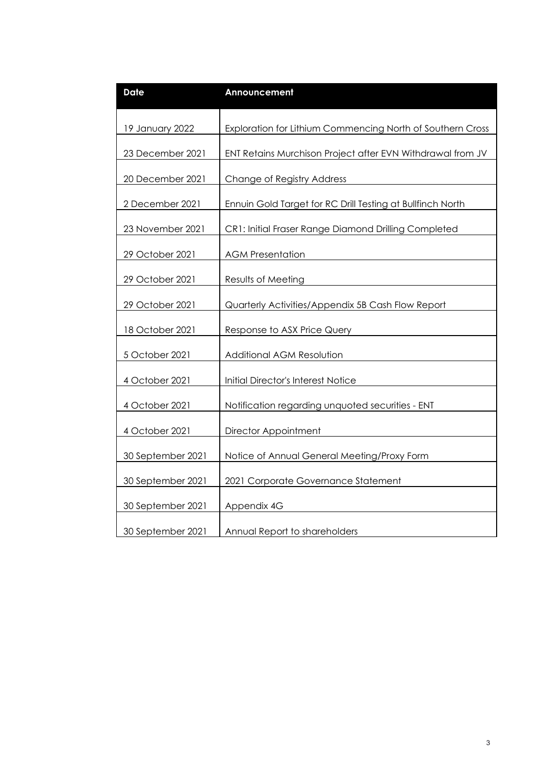| <b>Date</b>       | Announcement                                               |
|-------------------|------------------------------------------------------------|
| 19 January 2022   | Exploration for Lithium Commencing North of Southern Cross |
|                   |                                                            |
| 23 December 2021  | ENT Retains Murchison Project after EVN Withdrawal from JV |
| 20 December 2021  | Change of Registry Address                                 |
| 2 December 2021   | Ennuin Gold Target for RC Drill Testing at Bullfinch North |
| 23 November 2021  | CR1: Initial Fraser Range Diamond Drilling Completed       |
| 29 October 2021   | <b>AGM Presentation</b>                                    |
| 29 October 2021   | Results of Meeting                                         |
| 29 October 2021   | Quarterly Activities/Appendix 5B Cash Flow Report          |
| 18 October 2021   | Response to ASX Price Query                                |
| 5 October 2021    | Additional AGM Resolution                                  |
| 4 October 2021    | Initial Director's Interest Notice                         |
| 4 October 2021    | Notification regarding unquoted securities - ENT           |
| 4 October 2021    | Director Appointment                                       |
| 30 September 2021 | Notice of Annual General Meeting/Proxy Form                |
| 30 September 2021 | 2021 Corporate Governance Statement                        |
| 30 September 2021 | Appendix 4G                                                |
| 30 September 2021 | Annual Report to shareholders                              |